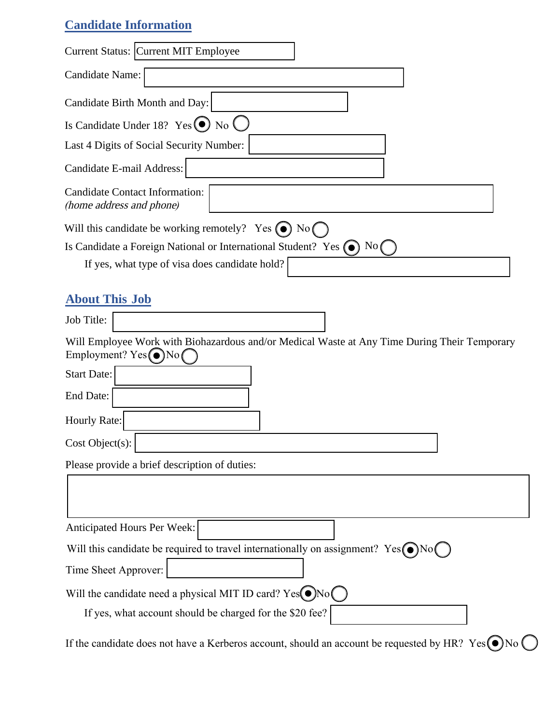## **Candidate Information**

| Current Status: Current MIT Employee                                                                                     |
|--------------------------------------------------------------------------------------------------------------------------|
| Candidate Name:                                                                                                          |
| Candidate Birth Month and Day:                                                                                           |
| Is Candidate Under 18? $Yes$ (a) No $\bigcup$                                                                            |
| Last 4 Digits of Social Security Number:                                                                                 |
| Candidate E-mail Address:                                                                                                |
| <b>Candidate Contact Information:</b><br>(home address and phone)                                                        |
| Will this candidate be working remotely? Yes $\odot$ No $\odot$                                                          |
| Is Candidate a Foreign National or International Student? Yes $\left(\bullet\right)$ No                                  |
| If yes, what type of visa does candidate hold?                                                                           |
| <b>About This Job</b>                                                                                                    |
| Job Title:                                                                                                               |
| Will Employee Work with Biohazardous and/or Medical Waste at Any Time During Their Temporary<br>Employment? $Yes($ ) No( |
| <b>Start Date:</b>                                                                                                       |
| End Date:                                                                                                                |
| <b>Hourly Rate:</b>                                                                                                      |
| Cost Object(s):                                                                                                          |
| Please provide a brief description of duties:                                                                            |
|                                                                                                                          |
|                                                                                                                          |
| Anticipated Hours Per Week:                                                                                              |
| Will this candidate be required to travel internationally on assignment? $Yes( \bigcirc) No($                            |
| Time Sheet Approver:                                                                                                     |
| Will the candidate need a physical MIT ID card? $Yes( \bullet) No($                                                      |
| If yes, what account should be charged for the \$20 fee?                                                                 |
|                                                                                                                          |

If the candidate does not have a Kerberos account, should an account be requested by HR? Yes  $\bigcirc$ No  $\bigcirc$